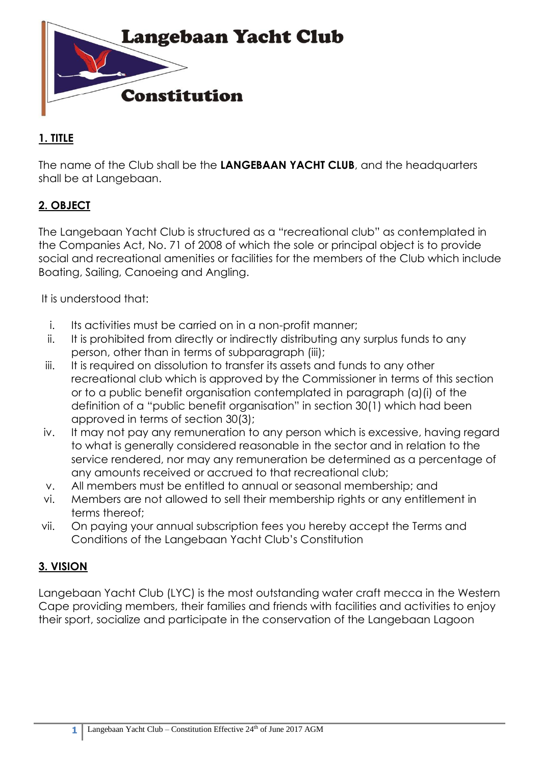

# **1. TITLE**

The name of the Club shall be the **LANGEBAAN YACHT CLUB**, and the headquarters shall be at Langebaan.

# **2. OBJECT**

The Langebaan Yacht Club is structured as a "recreational club" as contemplated in the Companies Act, No. 71 of 2008 of which the sole or principal object is to provide social and recreational amenities or facilities for the members of the Club which include Boating, Sailing, Canoeing and Angling.

It is understood that:

- i. Its activities must be carried on in a non-profit manner;
- ii. It is prohibited from directly or indirectly distributing any surplus funds to any person, other than in terms of subparagraph (iii);
- iii. It is required on dissolution to transfer its assets and funds to any other recreational club which is approved by the Commissioner in terms of this section or to a public benefit organisation contemplated in paragraph (a)(i) of the definition of a "public benefit organisation" in section 30(1) which had been approved in terms of section 30(3);
- iv. It may not pay any remuneration to any person which is excessive, having regard to what is generally considered reasonable in the sector and in relation to the service rendered, nor may any remuneration be determined as a percentage of any amounts received or accrued to that recreational club;
- v. All members must be entitled to annual or seasonal membership; and
- vi. Members are not allowed to sell their membership rights or any entitlement in terms thereof;
- vii. On paying your annual subscription fees you hereby accept the Terms and Conditions of the Langebaan Yacht Club's Constitution

# **3. VISION**

Langebaan Yacht Club (LYC) is the most outstanding water craft mecca in the Western Cape providing members, their families and friends with facilities and activities to enjoy their sport, socialize and participate in the conservation of the Langebaan Lagoon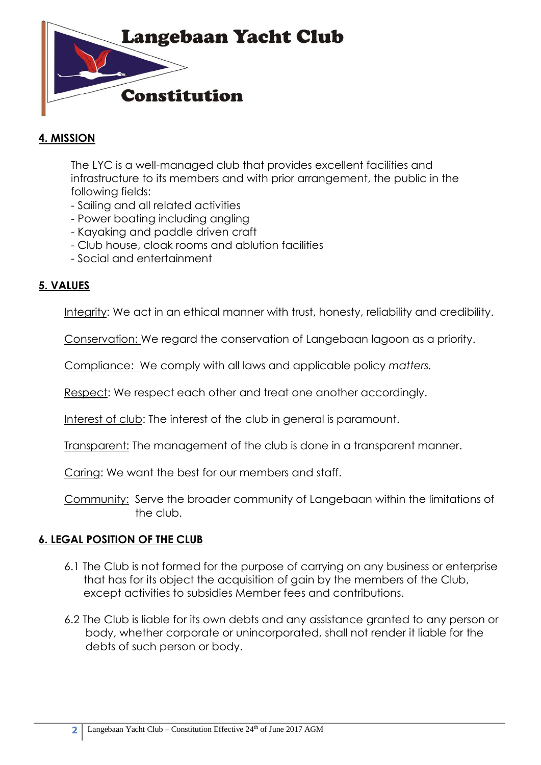

### **4. MISSION**

The LYC is a well-managed club that provides excellent facilities and infrastructure to its members and with prior arrangement, the public in the following fields:

- Sailing and all related activities
- Power boating including angling
- Kayaking and paddle driven craft
- Club house, cloak rooms and ablution facilities
- Social and entertainment

#### **5. VALUES**

Integrity: We act in an ethical manner with trust, honesty, reliability and credibility.

Conservation: We regard the conservation of Langebaan lagoon as a priority.

Compliance: We comply with all laws and applicable policy *matters.*

Respect: We respect each other and treat one another accordingly.

Interest of club: The interest of the club in general is paramount.

Transparent: The management of the club is done in a transparent manner.

Caring: We want the best for our members and staff.

Community: Serve the broader community of Langebaan within the limitations of the club.

#### **6. LEGAL POSITION OF THE CLUB**

- 6.1 The Club is not formed for the purpose of carrying on any business or enterprise that has for its object the acquisition of gain by the members of the Club, except activities to subsidies Member fees and contributions.
- 6.2 The Club is liable for its own debts and any assistance granted to any person or body, whether corporate or unincorporated, shall not render it liable for the debts of such person or body.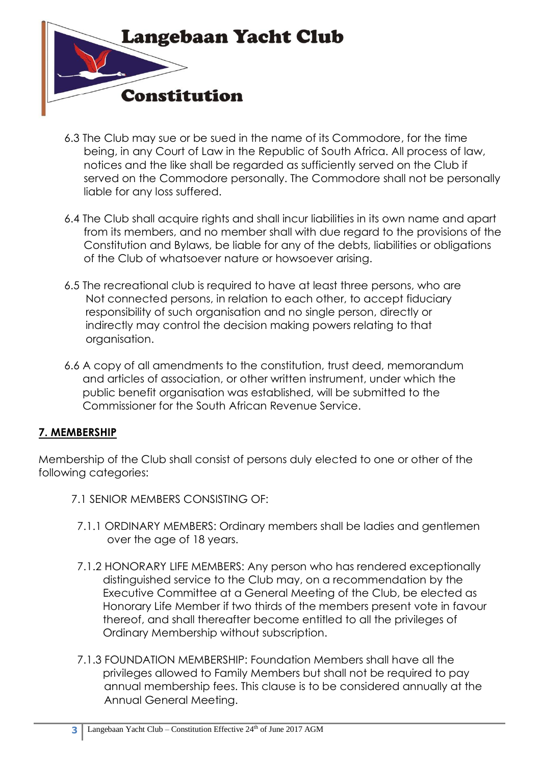

- 6.3 The Club may sue or be sued in the name of its Commodore, for the time being, in any Court of Law in the Republic of South Africa. All process of law, notices and the like shall be regarded as sufficiently served on the Club if served on the Commodore personally. The Commodore shall not be personally liable for any loss suffered.
- 6.4 The Club shall acquire rights and shall incur liabilities in its own name and apart from its members, and no member shall with due regard to the provisions of the Constitution and Bylaws, be liable for any of the debts, liabilities or obligations of the Club of whatsoever nature or howsoever arising.
- 6.5 The recreational club is required to have at least three persons, who are Not connected persons, in relation to each other, to accept fiduciary responsibility of such organisation and no single person, directly or indirectly may control the decision making powers relating to that organisation.
- 6.6 A copy of all amendments to the constitution, trust deed, memorandum and articles of association, or other written instrument, under which the public benefit organisation was established, will be submitted to the Commissioner for the South African Revenue Service.

## **7. MEMBERSHIP**

Membership of the Club shall consist of persons duly elected to one or other of the following categories:

- 7.1 SENIOR MEMBERS CONSISTING OF:
	- 7.1.1 ORDINARY MEMBERS: Ordinary members shall be ladies and gentlemen over the age of 18 years.
	- 7.1.2 HONORARY LIFE MEMBERS: Any person who has rendered exceptionally distinguished service to the Club may, on a recommendation by the Executive Committee at a General Meeting of the Club, be elected as Honorary Life Member if two thirds of the members present vote in favour thereof, and shall thereafter become entitled to all the privileges of Ordinary Membership without subscription.
	- 7.1.3 FOUNDATION MEMBERSHIP: Foundation Members shall have all the privileges allowed to Family Members but shall not be required to pay annual membership fees. This clause is to be considered annually at the Annual General Meeting.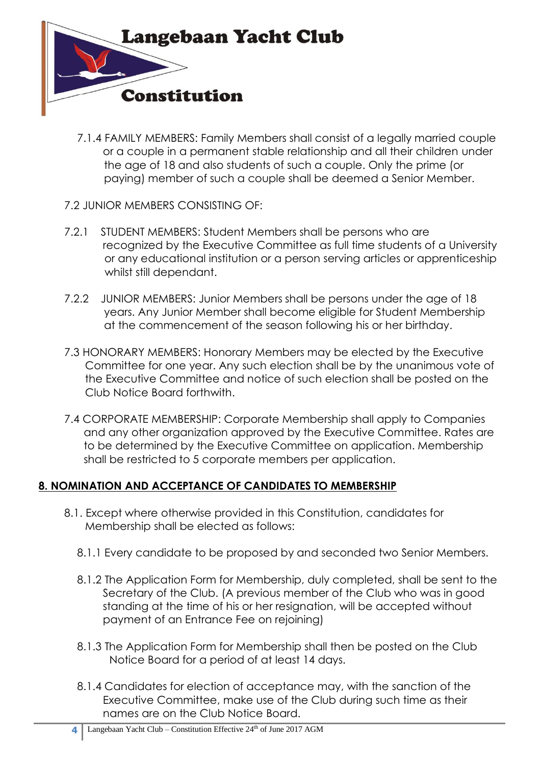

- 7.1.4 FAMILY MEMBERS: Family Members shall consist of a legally married couple or a couple in a permanent stable relationship and all their children under the age of 18 and also students of such a couple. Only the prime (or paying) member of such a couple shall be deemed a Senior Member.
- 7.2 JUNIOR MEMBERS CONSISTING OF:
- 7.2.1 STUDENT MEMBERS: Student Members shall be persons who are recognized by the Executive Committee as full time students of a University or any educational institution or a person serving articles or apprenticeship whilst still dependant.
- 7.2.2 JUNIOR MEMBERS: Junior Members shall be persons under the age of 18 years. Any Junior Member shall become eligible for Student Membership at the commencement of the season following his or her birthday.
- 7.3 HONORARY MEMBERS: Honorary Members may be elected by the Executive Committee for one year. Any such election shall be by the unanimous vote of the Executive Committee and notice of such election shall be posted on the Club Notice Board forthwith.
- 7.4 CORPORATE MEMBERSHIP: Corporate Membership shall apply to Companies and any other organization approved by the Executive Committee. Rates are to be determined by the Executive Committee on application. Membership shall be restricted to 5 corporate members per application.

## **8. NOMINATION AND ACCEPTANCE OF CANDIDATES TO MEMBERSHIP**

- 8.1. Except where otherwise provided in this Constitution, candidates for Membership shall be elected as follows:
	- 8.1.1 Every candidate to be proposed by and seconded two Senior Members.
	- 8.1.2 The Application Form for Membership, duly completed, shall be sent to the Secretary of the Club. (A previous member of the Club who was in good standing at the time of his or her resignation, will be accepted without payment of an Entrance Fee on rejoining)
	- 8.1.3 The Application Form for Membership shall then be posted on the Club Notice Board for a period of at least 14 days.
	- 8.1.4 Candidates for election of acceptance may, with the sanction of the Executive Committee, make use of the Club during such time as their names are on the Club Notice Board.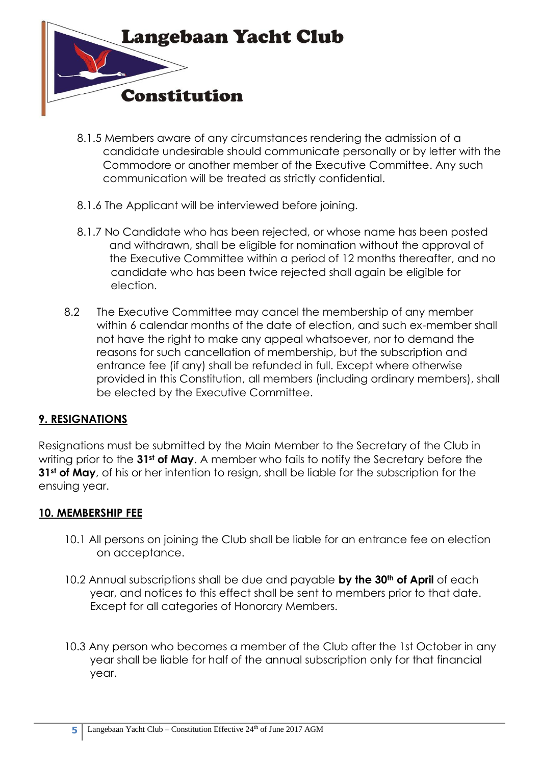

- 8.1.5 Members aware of any circumstances rendering the admission of a candidate undesirable should communicate personally or by letter with the Commodore or another member of the Executive Committee. Any such communication will be treated as strictly confidential.
- 8.1.6 The Applicant will be interviewed before joining.
- 8.1.7 No Candidate who has been rejected, or whose name has been posted and withdrawn, shall be eligible for nomination without the approval of the Executive Committee within a period of 12 months thereafter, and no candidate who has been twice rejected shall again be eligible for election.
- 8.2 The Executive Committee may cancel the membership of any member within 6 calendar months of the date of election, and such ex-member shall not have the right to make any appeal whatsoever, nor to demand the reasons for such cancellation of membership, but the subscription and entrance fee (if any) shall be refunded in full. Except where otherwise provided in this Constitution, all members (including ordinary members), shall be elected by the Executive Committee.

## **9. RESIGNATIONS**

Resignations must be submitted by the Main Member to the Secretary of the Club in writing prior to the **31st of May**. A member who fails to notify the Secretary before the **31st of May**, of his or her intention to resign, shall be liable for the subscription for the ensuing year.

#### **10. MEMBERSHIP FEE**

- 10.1 All persons on joining the Club shall be liable for an entrance fee on election on acceptance.
- 10.2 Annual subscriptions shall be due and payable **by the 30th of April** of each year, and notices to this effect shall be sent to members prior to that date. Except for all categories of Honorary Members.
- 10.3 Any person who becomes a member of the Club after the 1st October in any year shall be liable for half of the annual subscription only for that financial year.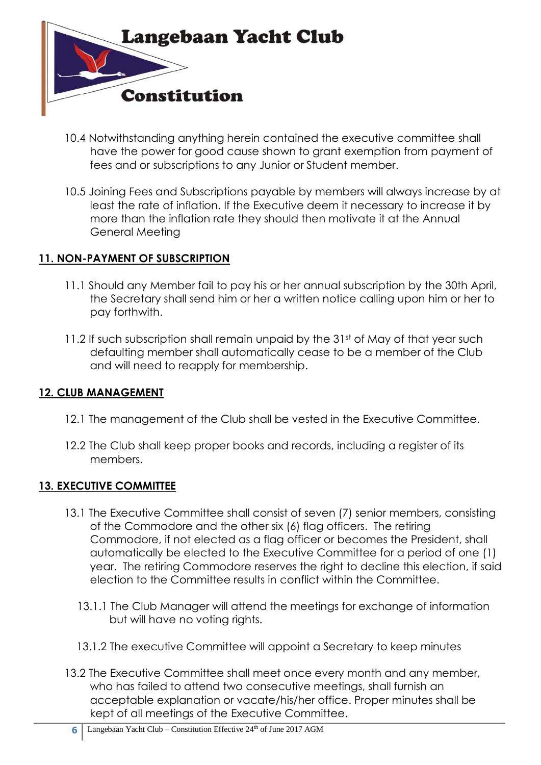

- 10.4 Notwithstanding anything herein contained the executive committee shall have the power for good cause shown to grant exemption from payment of fees and or subscriptions to any Junior or Student member.
- 10.5 Joining Fees and Subscriptions payable by members will always increase by at least the rate of inflation. If the Executive deem it necessary to increase it by more than the inflation rate they should then motivate it at the Annual General Meeting

### **11. NON-PAYMENT OF SUBSCRIPTION**

- 11.1 Should any Member fail to pay his or her annual subscription by the 30th April, the Secretary shall send him or her a written notice calling upon him or her to pay forthwith.
- 11.2 If such subscription shall remain unpaid by the 31st of May of that year such defaulting member shall automatically cease to be a member of the Club and will need to reapply for membership.

#### **12. CLUB MANAGEMENT**

- 12.1 The management of the Club shall be vested in the Executive Committee.
- 12.2 The Club shall keep proper books and records, including a register of its members.

#### **13. EXECUTIVE COMMITTEE**

- 13.1 The Executive Committee shall consist of seven (7) senior members, consisting of the Commodore and the other six (6) flag officers. The retiring Commodore, if not elected as a flag officer or becomes the President, shall automatically be elected to the Executive Committee for a period of one (1) year. The retiring Commodore reserves the right to decline this election, if said election to the Committee results in conflict within the Committee.
	- 13.1.1 The Club Manager will attend the meetings for exchange of information but will have no voting rights.
	- 13.1.2 The executive Committee will appoint a Secretary to keep minutes
- 13.2 The Executive Committee shall meet once every month and any member, who has failed to attend two consecutive meetings, shall furnish an acceptable explanation or vacate/his/her office. Proper minutes shall be kept of all meetings of the Executive Committee.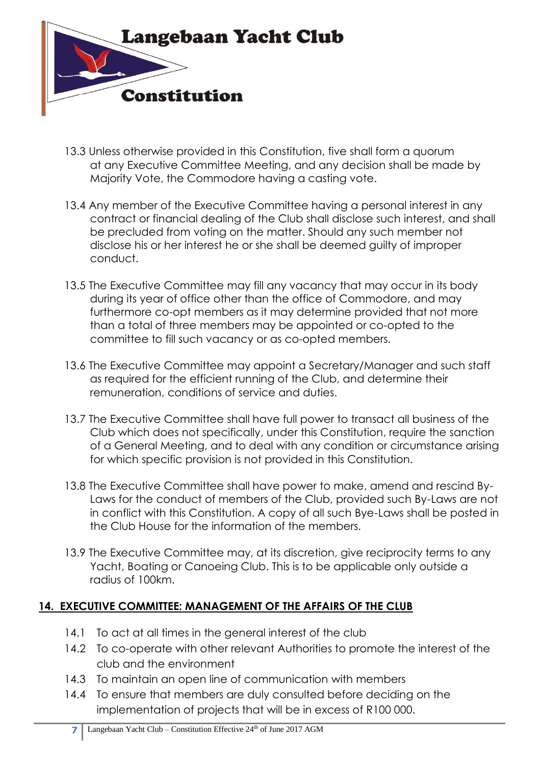

- 13.3 Unless otherwise provided in this Constitution, five shall form a quorum at any Executive Committee Meeting, and any decision shall be made by Majority Vote, the Commodore having a casting vote.
- 13.4 Any member of the Executive Committee having a personal interest in any contract or financial dealing of the Club shall disclose such interest, and shall be precluded from voting on the matter. Should any such member not disclose his or her interest he or she shall be deemed guilty of improper conduct.
- 13.5 The Executive Committee may fill any vacancy that may occur in its body during its year of office other than the office of Commodore, and may furthermore co-opt members as it may determine provided that not more than a total of three members may be appointed or co-opted to the committee to fill such vacancy or as co-opted members.
- 13.6 The Executive Committee may appoint a Secretary/Manager and such staff as required for the efficient running of the Club, and determine their remuneration, conditions of service and duties.
- 13.7 The Executive Committee shall have full power to transact all business of the Club which does not specifically, under this Constitution, require the sanction of a General Meeting, and to deal with any condition or circumstance arising for which specific provision is not provided in this Constitution.
- 13.8 The Executive Committee shall have power to make, amend and rescind By-Laws for the conduct of members of the Club, provided such By-Laws are not in conflict with this Constitution. A copy of all such Bye-Laws shall be posted in the Club House for the information of the members.
- 13.9 The Executive Committee may, at its discretion, give reciprocity terms to any Yacht, Boating or Canoeing Club. This is to be applicable only outside a radius of 100km.

## **14. EXECUTIVE COMMITTEE: MANAGEMENT OF THE AFFAIRS OF THE CLUB**

- 14.1 To act at all times in the general interest of the club
- 14.2 To co-operate with other relevant Authorities to promote the interest of the club and the environment
- 14.3 To maintain an open line of communication with members
- 14.4 To ensure that members are duly consulted before deciding on the implementation of projects that will be in excess of R100 000.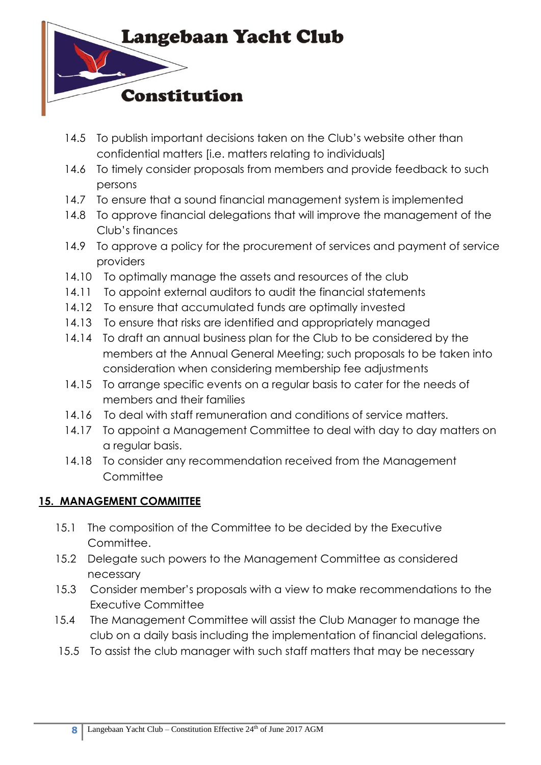

- 14.5 To publish important decisions taken on the Club's website other than confidential matters [i.e. matters relating to individuals]
- 14.6 To timely consider proposals from members and provide feedback to such persons
- 14.7 To ensure that a sound financial management system is implemented
- 14.8 To approve financial delegations that will improve the management of the Club's finances
- 14.9 To approve a policy for the procurement of services and payment of service providers
- 14.10 To optimally manage the assets and resources of the club
- 14.11 To appoint external auditors to audit the financial statements
- 14.12 To ensure that accumulated funds are optimally invested
- 14.13 To ensure that risks are identified and appropriately managed
- 14.14 To draft an annual business plan for the Club to be considered by the members at the Annual General Meeting; such proposals to be taken into consideration when considering membership fee adjustments
- 14.15 To arrange specific events on a regular basis to cater for the needs of members and their families
- 14.16 To deal with staff remuneration and conditions of service matters.
- 14.17 To appoint a Management Committee to deal with day to day matters on a regular basis.
- 14.18 To consider any recommendation received from the Management **Committee**

# **15. MANAGEMENT COMMITTEE**

- 15.1 The composition of the Committee to be decided by the Executive Committee.
- 15.2 Delegate such powers to the Management Committee as considered necessary
- 15.3 Consider member's proposals with a view to make recommendations to the Executive Committee
- 15.4 The Management Committee will assist the Club Manager to manage the club on a daily basis including the implementation of financial delegations.
- 15.5 To assist the club manager with such staff matters that may be necessary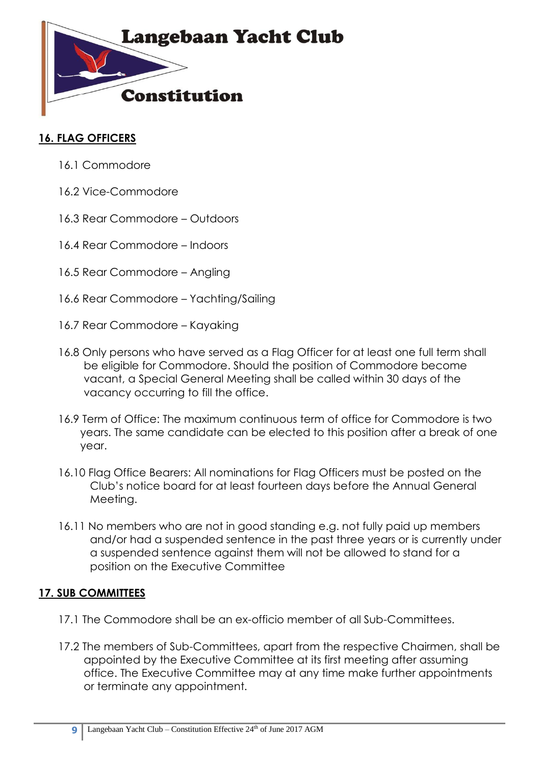

### **16. FLAG OFFICERS**

- 16.1 Commodore
- 16.2 Vice-Commodore
- 16.3 Rear Commodore Outdoors
- 16.4 Rear Commodore Indoors
- 16.5 Rear Commodore Angling
- 16.6 Rear Commodore Yachting/Sailing
- 16.7 Rear Commodore Kayaking
- 16.8 Only persons who have served as a Flag Officer for at least one full term shall be eligible for Commodore. Should the position of Commodore become vacant, a Special General Meeting shall be called within 30 days of the vacancy occurring to fill the office.
- 16.9 Term of Office: The maximum continuous term of office for Commodore is two years. The same candidate can be elected to this position after a break of one year.
- 16.10 Flag Office Bearers: All nominations for Flag Officers must be posted on the Club's notice board for at least fourteen days before the Annual General Meeting.
- 16.11 No members who are not in good standing e.g. not fully paid up members and/or had a suspended sentence in the past three years or is currently under a suspended sentence against them will not be allowed to stand for a position on the Executive Committee

## **17. SUB COMMITTEES**

- 17.1 The Commodore shall be an ex-officio member of all Sub-Committees.
- 17.2 The members of Sub-Committees, apart from the respective Chairmen, shall be appointed by the Executive Committee at its first meeting after assuming office. The Executive Committee may at any time make further appointments or terminate any appointment.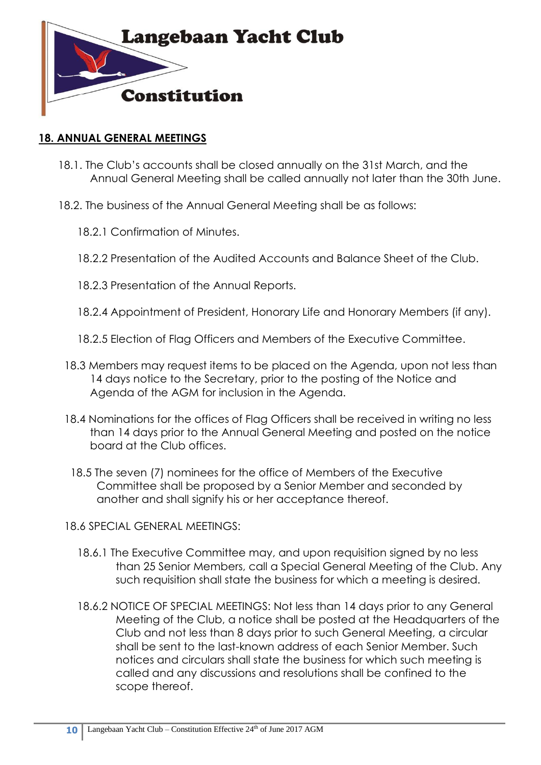

#### **18. ANNUAL GENERAL MEETINGS**

- 18.1. The Club's accounts shall be closed annually on the 31st March, and the Annual General Meeting shall be called annually not later than the 30th June.
- 18.2. The business of the Annual General Meeting shall be as follows:
	- 18.2.1 Confirmation of Minutes.
	- 18.2.2 Presentation of the Audited Accounts and Balance Sheet of the Club.
	- 18.2.3 Presentation of the Annual Reports.
	- 18.2.4 Appointment of President, Honorary Life and Honorary Members (if any).
	- 18.2.5 Election of Flag Officers and Members of the Executive Committee.
	- 18.3 Members may request items to be placed on the Agenda, upon not less than 14 days notice to the Secretary, prior to the posting of the Notice and Agenda of the AGM for inclusion in the Agenda.
	- 18.4 Nominations for the offices of Flag Officers shall be received in writing no less than 14 days prior to the Annual General Meeting and posted on the notice board at the Club offices.
		- 18.5 The seven (7) nominees for the office of Members of the Executive Committee shall be proposed by a Senior Member and seconded by another and shall signify his or her acceptance thereof.
	- 18.6 SPECIAL GENERAL MEETINGS:
		- 18.6.1 The Executive Committee may, and upon requisition signed by no less than 25 Senior Members, call a Special General Meeting of the Club. Any such requisition shall state the business for which a meeting is desired.
		- 18.6.2 NOTICE OF SPECIAL MEETINGS: Not less than 14 days prior to any General Meeting of the Club, a notice shall be posted at the Headquarters of the Club and not less than 8 days prior to such General Meeting, a circular shall be sent to the last-known address of each Senior Member. Such notices and circulars shall state the business for which such meeting is called and any discussions and resolutions shall be confined to the scope thereof.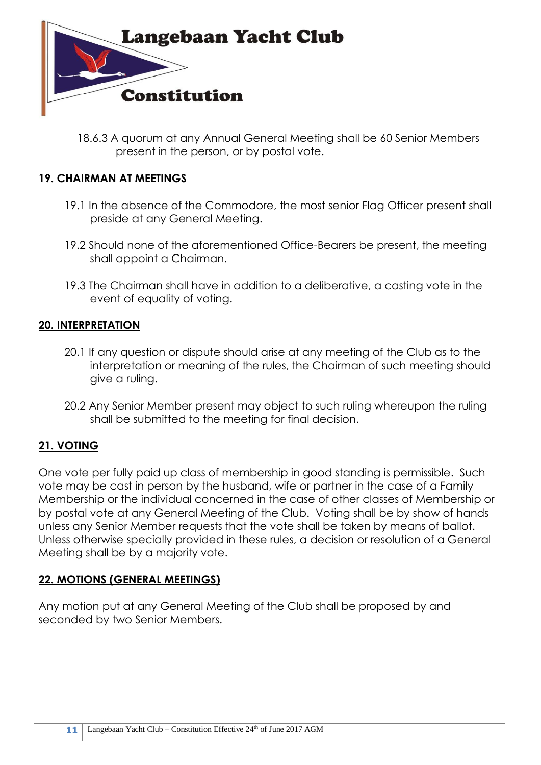

18.6.3 A quorum at any Annual General Meeting shall be 60 Senior Members present in the person, or by postal vote.

### **19. CHAIRMAN AT MEETINGS**

- 19.1 In the absence of the Commodore, the most senior Flag Officer present shall preside at any General Meeting.
- 19.2 Should none of the aforementioned Office-Bearers be present, the meeting shall appoint a Chairman.
- 19.3 The Chairman shall have in addition to a deliberative, a casting vote in the event of equality of voting.

### **20. INTERPRETATION**

- 20.1 If any question or dispute should arise at any meeting of the Club as to the interpretation or meaning of the rules, the Chairman of such meeting should give a ruling.
- 20.2 Any Senior Member present may object to such ruling whereupon the ruling shall be submitted to the meeting for final decision.

## **21. VOTING**

One vote per fully paid up class of membership in good standing is permissible. Such vote may be cast in person by the husband, wife or partner in the case of a Family Membership or the individual concerned in the case of other classes of Membership or by postal vote at any General Meeting of the Club. Voting shall be by show of hands unless any Senior Member requests that the vote shall be taken by means of ballot. Unless otherwise specially provided in these rules, a decision or resolution of a General Meeting shall be by a majority vote.

#### **22. MOTIONS (GENERAL MEETINGS)**

Any motion put at any General Meeting of the Club shall be proposed by and seconded by two Senior Members.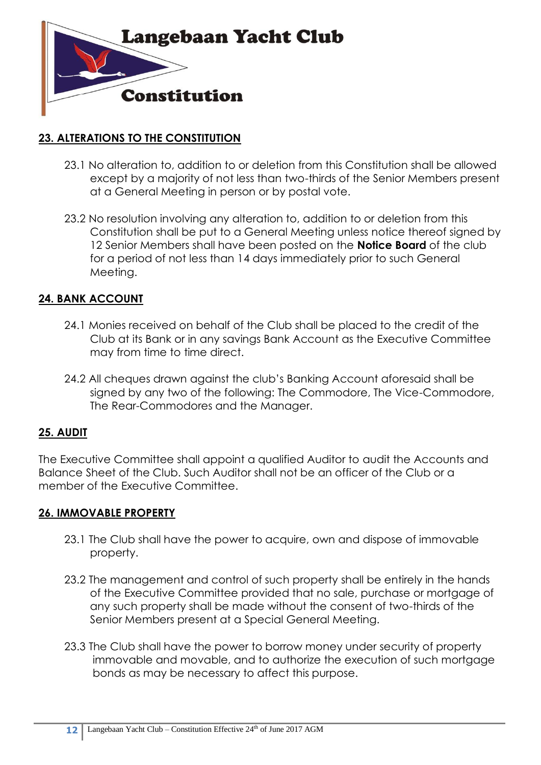

### **23. ALTERATIONS TO THE CONSTITUTION**

- 23.1 No alteration to, addition to or deletion from this Constitution shall be allowed except by a majority of not less than two-thirds of the Senior Members present at a General Meeting in person or by postal vote.
- 23.2 No resolution involving any alteration to, addition to or deletion from this Constitution shall be put to a General Meeting unless notice thereof signed by 12 Senior Members shall have been posted on the **Notice Board** of the club for a period of not less than 14 days immediately prior to such General Meeting.

### **24. BANK ACCOUNT**

- 24.1 Monies received on behalf of the Club shall be placed to the credit of the Club at its Bank or in any savings Bank Account as the Executive Committee may from time to time direct.
- 24.2 All cheques drawn against the club's Banking Account aforesaid shall be signed by any two of the following: The Commodore, The Vice-Commodore, The Rear-Commodores and the Manager.

#### **25. AUDIT**

The Executive Committee shall appoint a qualified Auditor to audit the Accounts and Balance Sheet of the Club. Such Auditor shall not be an officer of the Club or a member of the Executive Committee.

#### **26. IMMOVABLE PROPERTY**

- 23.1 The Club shall have the power to acquire, own and dispose of immovable property.
- 23.2 The management and control of such property shall be entirely in the hands of the Executive Committee provided that no sale, purchase or mortgage of any such property shall be made without the consent of two-thirds of the Senior Members present at a Special General Meeting.
- 23.3 The Club shall have the power to borrow money under security of property immovable and movable, and to authorize the execution of such mortgage bonds as may be necessary to affect this purpose.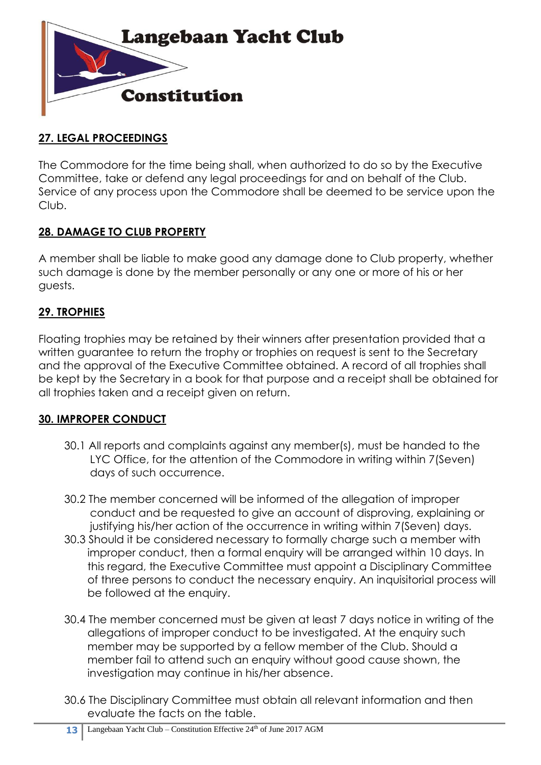

## **27. LEGAL PROCEEDINGS**

The Commodore for the time being shall, when authorized to do so by the Executive Committee, take or defend any legal proceedings for and on behalf of the Club. Service of any process upon the Commodore shall be deemed to be service upon the Club.

# **28. DAMAGE TO CLUB PROPERTY**

A member shall be liable to make good any damage done to Club property, whether such damage is done by the member personally or any one or more of his or her guests.

# **29. TROPHIES**

Floating trophies may be retained by their winners after presentation provided that a written guarantee to return the trophy or trophies on request is sent to the Secretary and the approval of the Executive Committee obtained. A record of all trophies shall be kept by the Secretary in a book for that purpose and a receipt shall be obtained for all trophies taken and a receipt given on return.

## **30. IMPROPER CONDUCT**

- 30.1 All reports and complaints against any member(s), must be handed to the LYC Office, for the attention of the Commodore in writing within 7(Seven) days of such occurrence.
- 30.2 The member concerned will be informed of the allegation of improper conduct and be requested to give an account of disproving, explaining or justifying his/her action of the occurrence in writing within 7(Seven) days.
- 30.3 Should it be considered necessary to formally charge such a member with improper conduct, then a formal enquiry will be arranged within 10 days. In this regard, the Executive Committee must appoint a Disciplinary Committee of three persons to conduct the necessary enquiry. An inquisitorial process will be followed at the enquiry.
- 30.4 The member concerned must be given at least 7 days notice in writing of the allegations of improper conduct to be investigated. At the enquiry such member may be supported by a fellow member of the Club. Should a member fail to attend such an enquiry without good cause shown, the investigation may continue in his/her absence.
- 30.6 The Disciplinary Committee must obtain all relevant information and then evaluate the facts on the table.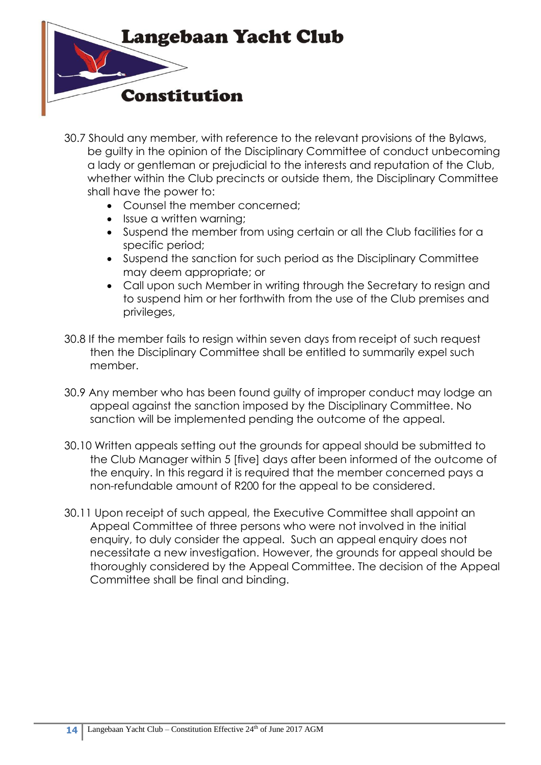

- 30.7 Should any member, with reference to the relevant provisions of the Bylaws, be guilty in the opinion of the Disciplinary Committee of conduct unbecoming a lady or gentleman or prejudicial to the interests and reputation of the Club, whether within the Club precincts or outside them, the Disciplinary Committee shall have the power to:
	- Counsel the member concerned:
	- Issue a written warning;
	- Suspend the member from using certain or all the Club facilities for a specific period;
	- Suspend the sanction for such period as the Disciplinary Committee may deem appropriate; or
	- Call upon such Member in writing through the Secretary to resign and to suspend him or her forthwith from the use of the Club premises and privileges,
- 30.8 If the member fails to resign within seven days from receipt of such request then the Disciplinary Committee shall be entitled to summarily expel such member.
- 30.9 Any member who has been found guilty of improper conduct may lodge an appeal against the sanction imposed by the Disciplinary Committee. No sanction will be implemented pending the outcome of the appeal.
- 30.10 Written appeals setting out the grounds for appeal should be submitted to the Club Manager within 5 [five] days after been informed of the outcome of the enquiry. In this regard it is required that the member concerned pays a non-refundable amount of R200 for the appeal to be considered.
- 30.11 Upon receipt of such appeal, the Executive Committee shall appoint an Appeal Committee of three persons who were not involved in the initial enquiry, to duly consider the appeal. Such an appeal enquiry does not necessitate a new investigation. However, the grounds for appeal should be thoroughly considered by the Appeal Committee. The decision of the Appeal Committee shall be final and binding.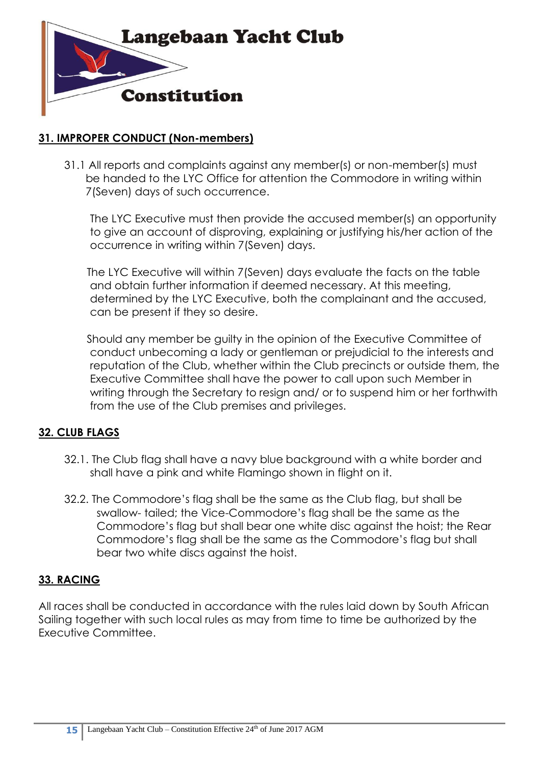

### **31. IMPROPER CONDUCT (Non-members)**

31.1 All reports and complaints against any member(s) or non-member(s) must be handed to the LYC Office for attention the Commodore in writing within 7(Seven) days of such occurrence.

The LYC Executive must then provide the accused member(s) an opportunity to give an account of disproving, explaining or justifying his/her action of the occurrence in writing within 7(Seven) days.

The LYC Executive will within 7(Seven) days evaluate the facts on the table and obtain further information if deemed necessary. At this meeting, determined by the LYC Executive, both the complainant and the accused, can be present if they so desire.

Should any member be guilty in the opinion of the Executive Committee of conduct unbecoming a lady or gentleman or prejudicial to the interests and reputation of the Club, whether within the Club precincts or outside them, the Executive Committee shall have the power to call upon such Member in writing through the Secretary to resign and/ or to suspend him or her forthwith from the use of the Club premises and privileges.

## **32. CLUB FLAGS**

- 32.1. The Club flag shall have a navy blue background with a white border and shall have a pink and white Flamingo shown in flight on it.
- 32.2. The Commodore's flag shall be the same as the Club flag, but shall be swallow- tailed; the Vice-Commodore's flag shall be the same as the Commodore's flag but shall bear one white disc against the hoist; the Rear Commodore's flag shall be the same as the Commodore's flag but shall bear two white discs against the hoist.

#### **33. RACING**

All races shall be conducted in accordance with the rules laid down by South African Sailing together with such local rules as may from time to time be authorized by the Executive Committee.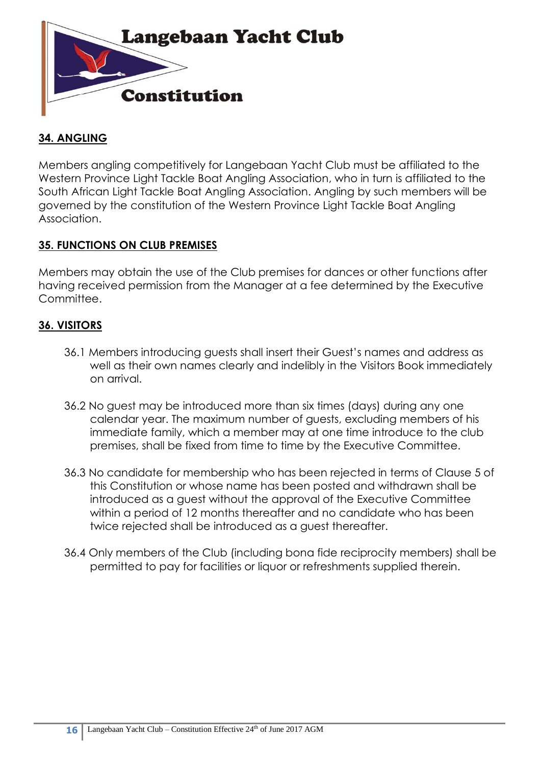

## **34. ANGLING**

Members angling competitively for Langebaan Yacht Club must be affiliated to the Western Province Light Tackle Boat Angling Association, who in turn is affiliated to the South African Light Tackle Boat Angling Association. Angling by such members will be governed by the constitution of the Western Province Light Tackle Boat Angling Association.

### **35. FUNCTIONS ON CLUB PREMISES**

Members may obtain the use of the Club premises for dances or other functions after having received permission from the Manager at a fee determined by the Executive Committee.

## **36. VISITORS**

- 36.1 Members introducing guests shall insert their Guest's names and address as well as their own names clearly and indelibly in the Visitors Book immediately on arrival.
- 36.2 No guest may be introduced more than six times (days) during any one calendar year. The maximum number of guests, excluding members of his immediate family, which a member may at one time introduce to the club premises, shall be fixed from time to time by the Executive Committee.
- 36.3 No candidate for membership who has been rejected in terms of Clause 5 of this Constitution or whose name has been posted and withdrawn shall be introduced as a guest without the approval of the Executive Committee within a period of 12 months thereafter and no candidate who has been twice rejected shall be introduced as a guest thereafter.
- 36.4 Only members of the Club (including bona fide reciprocity members) shall be permitted to pay for facilities or liquor or refreshments supplied therein.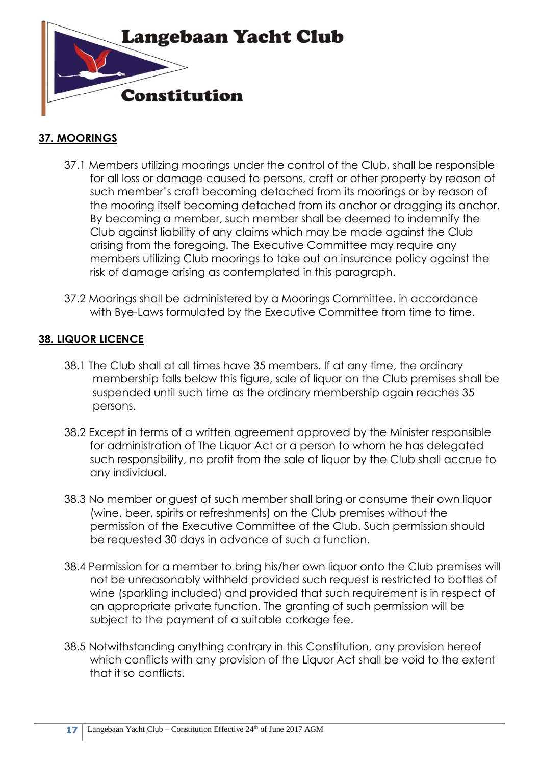

## **37. MOORINGS**

- 37.1 Members utilizing moorings under the control of the Club, shall be responsible for all loss or damage caused to persons, craft or other property by reason of such member's craft becoming detached from its moorings or by reason of the mooring itself becoming detached from its anchor or dragging its anchor. By becoming a member, such member shall be deemed to indemnify the Club against liability of any claims which may be made against the Club arising from the foregoing. The Executive Committee may require any members utilizing Club moorings to take out an insurance policy against the risk of damage arising as contemplated in this paragraph.
- 37.2 Moorings shall be administered by a Moorings Committee, in accordance with Bye-Laws formulated by the Executive Committee from time to time.

## **38. LIQUOR LICENCE**

- 38.1 The Club shall at all times have 35 members. If at any time, the ordinary membership falls below this figure, sale of liquor on the Club premises shall be suspended until such time as the ordinary membership again reaches 35 persons.
- 38.2 Except in terms of a written agreement approved by the Minister responsible for administration of The Liquor Act or a person to whom he has delegated such responsibility, no profit from the sale of liquor by the Club shall accrue to any individual.
- 38.3 No member or guest of such member shall bring or consume their own liquor (wine, beer, spirits or refreshments) on the Club premises without the permission of the Executive Committee of the Club. Such permission should be requested 30 days in advance of such a function.
- 38.4 Permission for a member to bring his/her own liquor onto the Club premises will not be unreasonably withheld provided such request is restricted to bottles of wine (sparkling included) and provided that such requirement is in respect of an appropriate private function. The granting of such permission will be subject to the payment of a suitable corkage fee.
- 38.5 Notwithstanding anything contrary in this Constitution, any provision hereof which conflicts with any provision of the Liquor Act shall be void to the extent that it so conflicts.